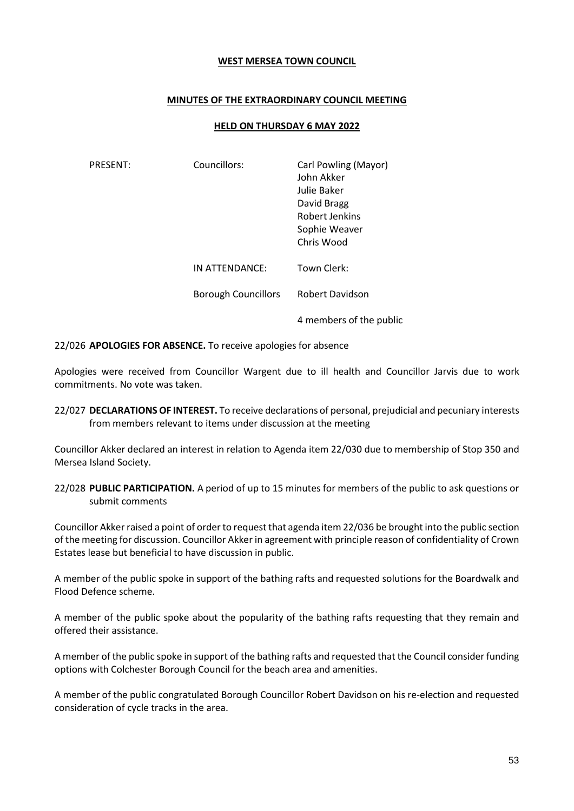### **WEST MERSEA TOWN COUNCIL**

## **MINUTES OF THE EXTRAORDINARY COUNCIL MEETING**

### **HELD ON THURSDAY 6 MAY 2022**

| <b>PRESENT:</b> | Councillors:               | Carl Powling (Mayor)<br>John Akker<br>Julie Baker<br>David Bragg<br>Robert Jenkins<br>Sophie Weaver<br>Chris Wood |
|-----------------|----------------------------|-------------------------------------------------------------------------------------------------------------------|
|                 | IN ATTENDANCE:             | Town Clerk:                                                                                                       |
|                 | <b>Borough Councillors</b> | <b>Robert Davidson</b>                                                                                            |
|                 |                            | 4 members of the public                                                                                           |

22/026 **APOLOGIES FOR ABSENCE.** To receive apologies for absence

Apologies were received from Councillor Wargent due to ill health and Councillor Jarvis due to work commitments. No vote was taken.

22/027 **DECLARATIONS OF INTEREST.** To receive declarations of personal, prejudicial and pecuniary interests from members relevant to items under discussion at the meeting

Councillor Akker declared an interest in relation to Agenda item 22/030 due to membership of Stop 350 and Mersea Island Society.

22/028 **PUBLIC PARTICIPATION.** A period of up to 15 minutes for members of the public to ask questions or submit comments

Councillor Akker raised a point of order to request that agenda item 22/036 be brought into the public section of the meeting for discussion. Councillor Akker in agreement with principle reason of confidentiality of Crown Estates lease but beneficial to have discussion in public.

A member of the public spoke in support of the bathing rafts and requested solutions for the Boardwalk and Flood Defence scheme.

A member of the public spoke about the popularity of the bathing rafts requesting that they remain and offered their assistance.

A member of the public spoke in support of the bathing rafts and requested that the Council consider funding options with Colchester Borough Council for the beach area and amenities.

A member of the public congratulated Borough Councillor Robert Davidson on his re-election and requested consideration of cycle tracks in the area.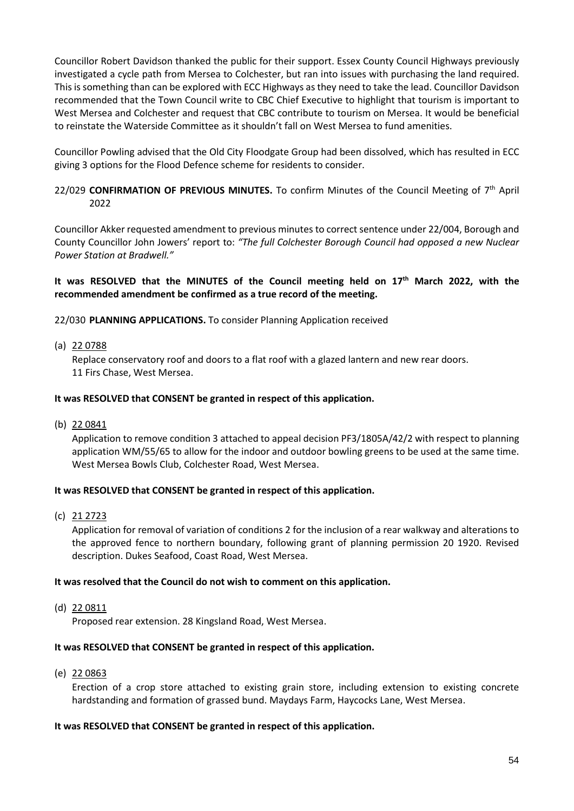Councillor Robert Davidson thanked the public for their support. Essex County Council Highways previously investigated a cycle path from Mersea to Colchester, but ran into issues with purchasing the land required. This is something than can be explored with ECC Highways as they need to take the lead. Councillor Davidson recommended that the Town Council write to CBC Chief Executive to highlight that tourism is important to West Mersea and Colchester and request that CBC contribute to tourism on Mersea. It would be beneficial to reinstate the Waterside Committee as it shouldn't fall on West Mersea to fund amenities.

Councillor Powling advised that the Old City Floodgate Group had been dissolved, which has resulted in ECC giving 3 options for the Flood Defence scheme for residents to consider.

# 22/029 CONFIRMATION OF PREVIOUS MINUTES. To confirm Minutes of the Council Meeting of 7<sup>th</sup> April 2022

Councillor Akker requested amendment to previous minutes to correct sentence under 22/004, Borough and County Councillor John Jowers' report to: *"The full Colchester Borough Council had opposed a new Nuclear Power Station at Bradwell."*

# **It was RESOLVED that the MINUTES of the Council meeting held on 17th March 2022, with the recommended amendment be confirmed as a true record of the meeting.**

22/030 **PLANNING APPLICATIONS.** To consider Planning Application received

(a) 22 0788

Replace conservatory roof and doors to a flat roof with a glazed lantern and new rear doors. 11 Firs Chase, West Mersea.

## **It was RESOLVED that CONSENT be granted in respect of this application.**

(b) 22 0841

Application to remove condition 3 attached to appeal decision PF3/1805A/42/2 with respect to planning application WM/55/65 to allow for the indoor and outdoor bowling greens to be used at the same time. West Mersea Bowls Club, Colchester Road, West Mersea.

## **It was RESOLVED that CONSENT be granted in respect of this application.**

(c) 21 2723

Application for removal of variation of conditions 2 for the inclusion of a rear walkway and alterations to the approved fence to northern boundary, following grant of planning permission 20 1920. Revised description. Dukes Seafood, Coast Road, West Mersea.

## **It was resolved that the Council do not wish to comment on this application.**

(d) 22 0811

Proposed rear extension. 28 Kingsland Road, West Mersea.

## **It was RESOLVED that CONSENT be granted in respect of this application.**

(e) 22 0863

Erection of a crop store attached to existing grain store, including extension to existing concrete hardstanding and formation of grassed bund. Maydays Farm, Haycocks Lane, West Mersea.

## **It was RESOLVED that CONSENT be granted in respect of this application.**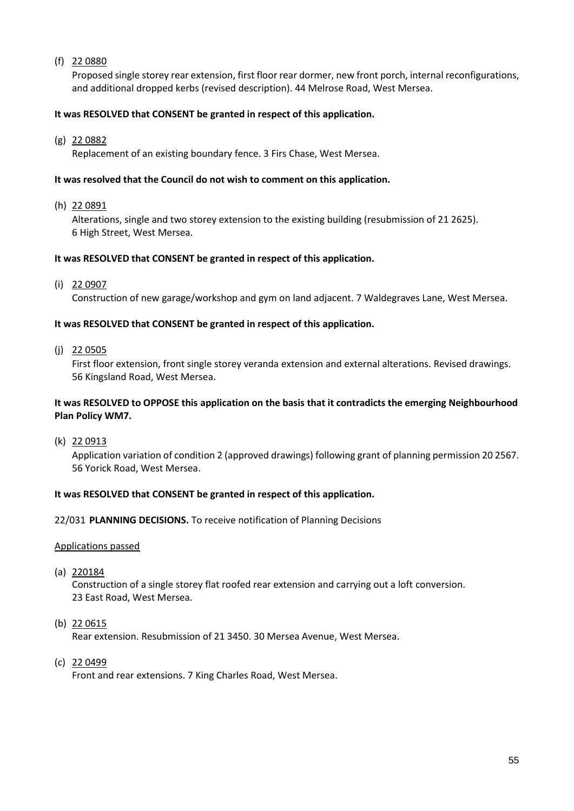# (f) 22 0880

Proposed single storey rear extension, first floor rear dormer, new front porch, internal reconfigurations, and additional dropped kerbs (revised description). 44 Melrose Road, West Mersea.

## **It was RESOLVED that CONSENT be granted in respect of this application.**

(g) 22 0882

Replacement of an existing boundary fence. 3 Firs Chase, West Mersea.

## **It was resolved that the Council do not wish to comment on this application.**

(h) 22 0891

Alterations, single and two storey extension to the existing building (resubmission of 21 2625). 6 High Street, West Mersea.

#### **It was RESOLVED that CONSENT be granted in respect of this application.**

(i) 22 0907

Construction of new garage/workshop and gym on land adjacent. 7 Waldegraves Lane, West Mersea.

## **It was RESOLVED that CONSENT be granted in respect of this application.**

(j) 22 0505

First floor extension, front single storey veranda extension and external alterations. Revised drawings. 56 Kingsland Road, West Mersea.

## **It was RESOLVED to OPPOSE this application on the basis that it contradicts the emerging Neighbourhood Plan Policy WM7.**

(k) 22 0913

Application variation of condition 2 (approved drawings) following grant of planning permission 20 2567. 56 Yorick Road, West Mersea.

## **It was RESOLVED that CONSENT be granted in respect of this application.**

## 22/031 **PLANNING DECISIONS.** To receive notification of Planning Decisions

#### Applications passed

(a) 220184

Construction of a single storey flat roofed rear extension and carrying out a loft conversion. 23 East Road, West Mersea.

(b) 22 0615

Rear extension. Resubmission of 21 3450. 30 Mersea Avenue, West Mersea.

(c) 22 0499

Front and rear extensions. 7 King Charles Road, West Mersea.